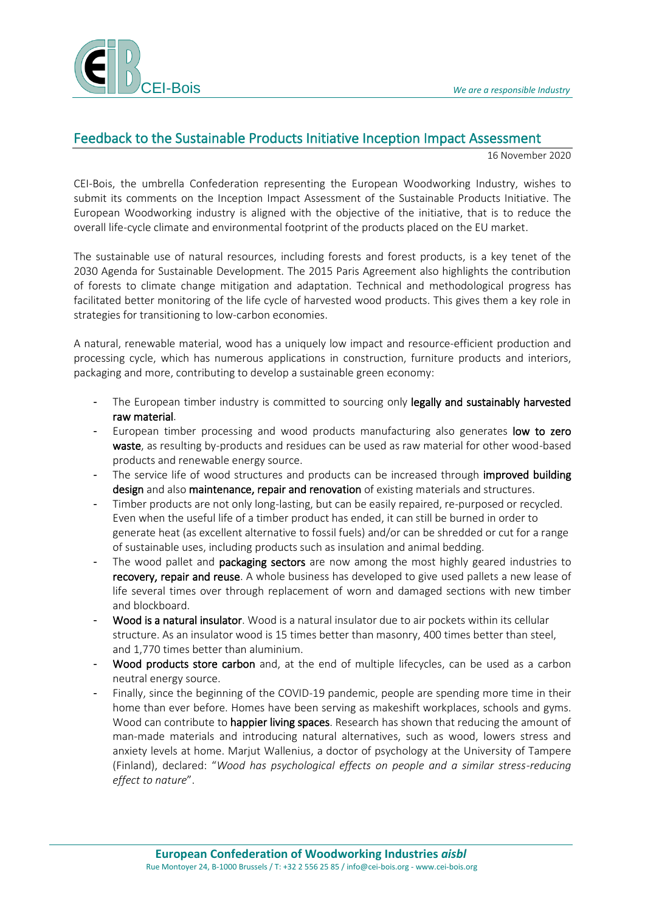

## Feedback to the Sustainable Products Initiative Inception Impact Assessment

16 November 2020

CEI-Bois, the umbrella Confederation representing the European Woodworking Industry, wishes to submit its comments on the Inception Impact Assessment of the Sustainable Products Initiative. The European Woodworking industry is aligned with the objective of the initiative, that is to reduce the overall life-cycle climate and environmental footprint of the products placed on the EU market.

The sustainable use of natural resources, including forests and forest products, is a key tenet of the 2030 Agenda for Sustainable Development. The 2015 Paris Agreement also highlights the contribution of forests to climate change mitigation and adaptation. Technical and methodological progress has facilitated better monitoring of the life cycle of harvested wood products. This gives them a key role in strategies for transitioning to low-carbon economies.

A natural, renewable material, wood has a uniquely low impact and resource-efficient production and processing cycle, which has numerous applications in construction, furniture products and interiors, packaging and more, contributing to develop a sustainable green economy:

- The European timber industry is committed to sourcing only legally and sustainably harvested raw material.
- European timber processing and wood products manufacturing also generates low to zero waste, as resulting by-products and residues can be used as raw material for other wood-based products and renewable energy source.
- The service life of wood structures and products can be increased through improved building design and also maintenance, repair and renovation of existing materials and structures.
- Timber products are not only long-lasting, but can be easily repaired, re-purposed or recycled. Even when the useful life of a timber product has ended, it can still be burned in order to generate heat (as excellent alternative to fossil fuels) and/or can be shredded or cut for a range of sustainable uses, including products such as insulation and animal bedding.
- The wood pallet and packaging sectors are now among the most highly geared industries to recovery, repair and reuse. A whole business has developed to give used pallets a new lease of life several times over through replacement of worn and damaged sections with new timber and blockboard.
- Wood is a natural insulator. Wood is a natural insulator due to air pockets within its cellular structure. As an insulator wood is 15 times better than masonry, 400 times better than steel, and 1,770 times better than aluminium.
- Wood products store carbon and, at the end of multiple lifecycles, can be used as a carbon neutral energy source.
- Finally, since the beginning of the COVID-19 pandemic, people are spending more time in their home than ever before. Homes have been serving as makeshift workplaces, schools and gyms. Wood can contribute to happier living spaces. Research has shown that reducing the amount of man-made materials and introducing natural alternatives, such as wood, lowers stress and anxiety levels at home. Marjut Wallenius, a doctor of psychology at the University of Tampere (Finland), declared: "*Wood has psychological effects on people and a similar stress-reducing effect to nature*".